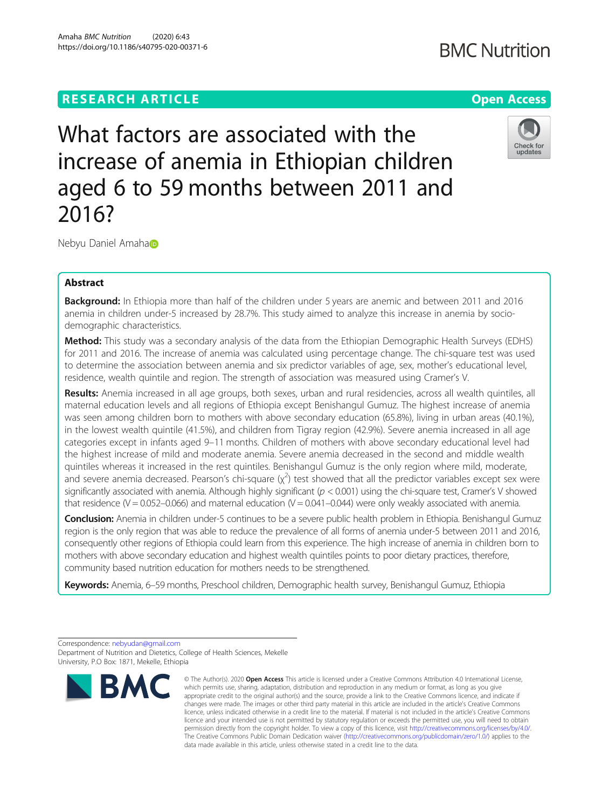# **RESEARCH ARTICLE Example 2014 12:30 The Open Access**

# What factors are associated with the increase of anemia in Ethiopian children

Background: In Ethiopia more than half of the children under 5 years are anemic and between 2011 and 2016 anemia in children under-5 increased by 28.7%. This study aimed to analyze this increase in anemia by sociodemographic characteristics.

**Method:** This study was a secondary analysis of the data from the Ethiopian Demographic Health Surveys (EDHS) for 2011 and 2016. The increase of anemia was calculated using percentage change. The chi-square test was used to determine the association between anemia and six predictor variables of age, sex, mother's educational level, residence, wealth quintile and region. The strength of association was measured using Cramer's V.

Results: Anemia increased in all age groups, both sexes, urban and rural residencies, across all wealth quintiles, all maternal education levels and all regions of Ethiopia except Benishangul Gumuz. The highest increase of anemia was seen among children born to mothers with above secondary education (65.8%), living in urban areas (40.1%), in the lowest wealth quintile (41.5%), and children from Tigray region (42.9%). Severe anemia increased in all age categories except in infants aged 9–11 months. Children of mothers with above secondary educational level had the highest increase of mild and moderate anemia. Severe anemia decreased in the second and middle wealth quintiles whereas it increased in the rest quintiles. Benishangul Gumuz is the only region where mild, moderate, and severe anemia decreased. Pearson's chi-square  $(x^2)$  test showed that all the predictor variables except sex were significantly associated with anemia. Although highly significant ( $p < 0.001$ ) using the chi-square test, Cramer's V showed that residence (V = 0.052–0.066) and maternal education (V = 0.041–0.044) were only weakly associated with anemia.

Conclusion: Anemia in children under-5 continues to be a severe public health problem in Ethiopia. Benishangul Gumuz region is the only region that was able to reduce the prevalence of all forms of anemia under-5 between 2011 and 2016, consequently other regions of Ethiopia could learn from this experience. The high increase of anemia in children born to mothers with above secondary education and highest wealth quintiles points to poor dietary practices, therefore, community based nutrition education for mothers needs to be strengthened.

Keywords: Anemia, 6–59 months, Preschool children, Demographic health survey, Benishangul Gumuz, Ethiopia

**BMC** 

© The Author(s), 2020 **Open Access** This article is licensed under a Creative Commons Attribution 4.0 International License, which permits use, sharing, adaptation, distribution and reproduction in any medium or format, as long as you give appropriate credit to the original author(s) and the source, provide a link to the Creative Commons licence, and indicate if

Nebyu Daniel Amah[a](http://orcid.org/0000-0001-5900-5939)

# Abstract

2016?



aged 6 to 59 months between 2011 and



**BMC Nutrition** 



Correspondence: [nebyudan@gmail.com](mailto:nebyudan@gmail.com) Department of Nutrition and Dietetics, College of Health Sciences, Mekelle University, P.O Box: 1871, Mekelle, Ethiopia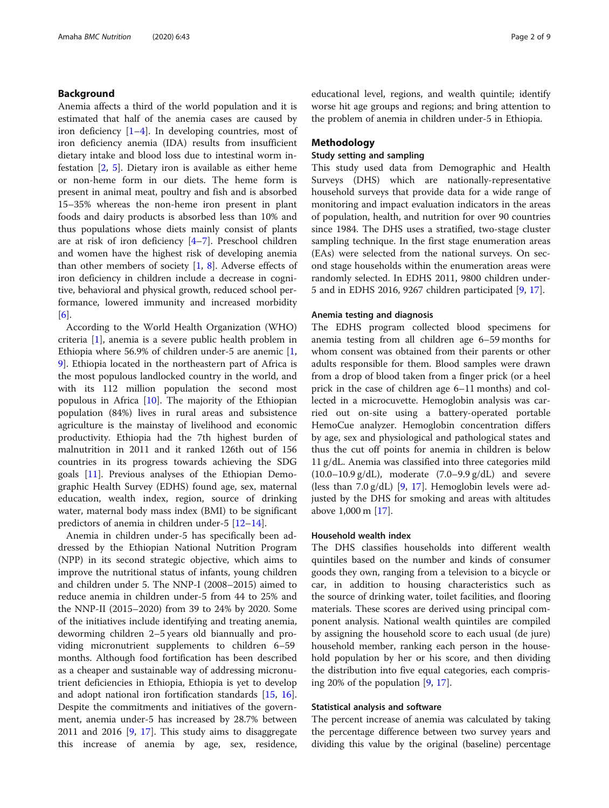# Background

Anemia affects a third of the world population and it is estimated that half of the anemia cases are caused by iron deficiency  $[1-4]$  $[1-4]$  $[1-4]$ . In developing countries, most of iron deficiency anemia (IDA) results from insufficient dietary intake and blood loss due to intestinal worm infestation [[2,](#page-8-0) [5\]](#page-8-0). Dietary iron is available as either heme or non-heme form in our diets. The heme form is present in animal meat, poultry and fish and is absorbed 15–35% whereas the non-heme iron present in plant foods and dairy products is absorbed less than 10% and thus populations whose diets mainly consist of plants are at risk of iron deficiency [\[4](#page-8-0)–[7\]](#page-8-0). Preschool children and women have the highest risk of developing anemia than other members of society  $[1, 8]$  $[1, 8]$  $[1, 8]$  $[1, 8]$  $[1, 8]$ . Adverse effects of iron deficiency in children include a decrease in cognitive, behavioral and physical growth, reduced school performance, lowered immunity and increased morbidity [[6\]](#page-8-0).

According to the World Health Organization (WHO) criteria [\[1](#page-8-0)], anemia is a severe public health problem in Ethiopia where 56.9% of children under-5 are anemic  $[1, 1]$  $[1, 1]$ [9\]](#page-8-0). Ethiopia located in the northeastern part of Africa is the most populous landlocked country in the world, and with its 112 million population the second most populous in Africa [\[10](#page-8-0)]. The majority of the Ethiopian population (84%) lives in rural areas and subsistence agriculture is the mainstay of livelihood and economic productivity. Ethiopia had the 7th highest burden of malnutrition in 2011 and it ranked 126th out of 156 countries in its progress towards achieving the SDG goals [[11\]](#page-8-0). Previous analyses of the Ethiopian Demographic Health Survey (EDHS) found age, sex, maternal education, wealth index, region, source of drinking water, maternal body mass index (BMI) to be significant predictors of anemia in children under-5 [\[12](#page-8-0)–[14\]](#page-8-0).

Anemia in children under-5 has specifically been addressed by the Ethiopian National Nutrition Program (NPP) in its second strategic objective, which aims to improve the nutritional status of infants, young children and children under 5. The NNP-I (2008–2015) aimed to reduce anemia in children under-5 from 44 to 25% and the NNP-II (2015–2020) from 39 to 24% by 2020. Some of the initiatives include identifying and treating anemia, deworming children 2–5 years old biannually and providing micronutrient supplements to children 6–59 months. Although food fortification has been described as a cheaper and sustainable way of addressing micronutrient deficiencies in Ethiopia, Ethiopia is yet to develop and adopt national iron fortification standards [\[15](#page-8-0), [16](#page-8-0)]. Despite the commitments and initiatives of the government, anemia under-5 has increased by 28.7% between 2011 and 2016 [\[9](#page-8-0), [17](#page-8-0)]. This study aims to disaggregate this increase of anemia by age, sex, residence, educational level, regions, and wealth quintile; identify worse hit age groups and regions; and bring attention to the problem of anemia in children under-5 in Ethiopia.

# Methodology

## Study setting and sampling

This study used data from Demographic and Health Surveys (DHS) which are nationally-representative household surveys that provide data for a wide range of monitoring and impact evaluation indicators in the areas of population, health, and nutrition for over 90 countries since 1984. The DHS uses a stratified, two-stage cluster sampling technique. In the first stage enumeration areas (EAs) were selected from the national surveys. On second stage households within the enumeration areas were randomly selected. In EDHS 2011, 9800 children under-5 and in EDHS 2016, 9267 children participated [[9,](#page-8-0) [17\]](#page-8-0).

#### Anemia testing and diagnosis

The EDHS program collected blood specimens for anemia testing from all children age 6–59 months for whom consent was obtained from their parents or other adults responsible for them. Blood samples were drawn from a drop of blood taken from a finger prick (or a heel prick in the case of children age 6–11 months) and collected in a microcuvette. Hemoglobin analysis was carried out on-site using a battery-operated portable HemoCue analyzer. Hemoglobin concentration differs by age, sex and physiological and pathological states and thus the cut off points for anemia in children is below 11 g/dL. Anemia was classified into three categories mild  $(10.0-10.9 \text{ g}/\text{dL})$ , moderate  $(7.0-9.9 \text{ g}/\text{dL})$  and severe (less than 7.0  $g/dL$ ) [[9,](#page-8-0) [17](#page-8-0)]. Hemoglobin levels were adjusted by the DHS for smoking and areas with altitudes above 1,000 m [\[17\]](#page-8-0).

#### Household wealth index

The DHS classifies households into different wealth quintiles based on the number and kinds of consumer goods they own, ranging from a television to a bicycle or car, in addition to housing characteristics such as the source of drinking water, toilet facilities, and flooring materials. These scores are derived using principal component analysis. National wealth quintiles are compiled by assigning the household score to each usual (de jure) household member, ranking each person in the household population by her or his score, and then dividing the distribution into five equal categories, each comprising 20% of the population [[9,](#page-8-0) [17\]](#page-8-0).

## Statistical analysis and software

The percent increase of anemia was calculated by taking the percentage difference between two survey years and dividing this value by the original (baseline) percentage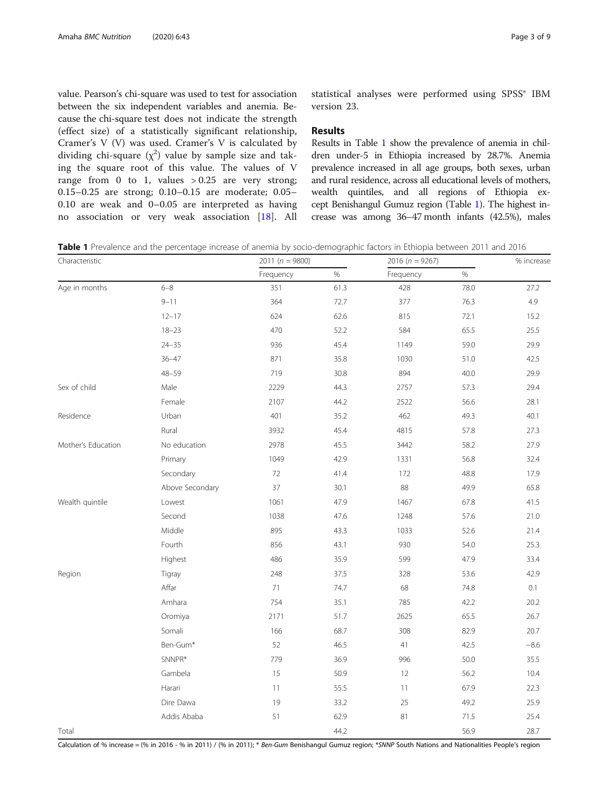<span id="page-2-0"></span>value. Pearson's chi-square was used to test for association between the six independent variables and anemia. Because the chi-square test does not indicate the strength (effect size) of a statistically significant relationship, Cramer's V (V) was used. Cramer's V is calculated by dividing chi-square  $(\chi^2)$  value by sample size and taking the square root of this value. The values of V range from 0 to 1, values  $> 0.25$  are very strong; 0.15–0.25 are strong; 0.10–0.15 are moderate; 0.05– 0.10 are weak and 0–0.05 are interpreted as having no association or very weak association [\[18](#page-8-0)]. All statistical analyses were performed using SPSS® IBM version 23.

## Results

Results in Table 1 show the prevalence of anemia in children under-5 in Ethiopia increased by 28.7%. Anemia prevalence increased in all age groups, both sexes, urban and rural residence, across all educational levels of mothers, wealth quintiles, and all regions of Ethiopia except Benishangul Gumuz region (Table 1). The highest increase was among 36–47 month infants (42.5%), males

Table 1 Prevalence and the percentage increase of anemia by socio-demographic factors in Ethiopia between 2011 and 2016

| Characteristic     |                 | 2011 ( $n = 9800$ ) |      | 2016 ( $n = 9267$ ) |      | % increase |
|--------------------|-----------------|---------------------|------|---------------------|------|------------|
|                    |                 | Frequency           | $\%$ | Frequency           | $\%$ |            |
| Age in months      | $6 - 8$         | 351                 | 61.3 | 428                 | 78.0 | 27.2       |
|                    | $9 - 11$        | 364                 | 72.7 | 377                 | 76.3 | 4.9        |
|                    | $12 - 17$       | 624                 | 62.6 | 815                 | 72.1 | 15.2       |
|                    | $18 - 23$       | 470                 | 52.2 | 584                 | 65.5 | 25.5       |
|                    | $24 - 35$       | 936                 | 45.4 | 1149                | 59.0 | 29.9       |
|                    | $36 - 47$       | 871                 | 35.8 | 1030                | 51.0 | 42.5       |
|                    | $48 - 59$       | 719                 | 30.8 | 894                 | 40.0 | 29.9       |
| Sex of child       | Male            | 2229                | 44.3 | 2757                | 57.3 | 29.4       |
|                    | Female          | 2107                | 44.2 | 2522                | 56.6 | 28.1       |
| Residence          | Urban           | 401                 | 35.2 | 462                 | 49.3 | 40.1       |
|                    | Rural           | 3932                | 45.4 | 4815                | 57.8 | 27.3       |
| Mother's Education | No education    | 2978                | 45.5 | 3442                | 58.2 | 27.9       |
|                    | Primary         | 1049                | 42.9 | 1331                | 56.8 | 32.4       |
|                    | Secondary       | 72                  | 41.4 | 172                 | 48.8 | 17.9       |
|                    | Above Secondary | 37                  | 30.1 | 88                  | 49.9 | 65.8       |
| Wealth quintile    | Lowest          | 1061                | 47.9 | 1467                | 67.8 | 41.5       |
|                    | Second          | 1038                | 47.6 | 1248                | 57.6 | 21.0       |
|                    | Middle          | 895                 | 43.3 | 1033                | 52.6 | 21.4       |
|                    | Fourth          | 856                 | 43.1 | 930                 | 54.0 | 25.3       |
|                    | Highest         | 486                 | 35.9 | 599                 | 47.9 | 33.4       |
| Region             | Tigray          | 248                 | 37.5 | 328                 | 53.6 | 42.9       |
|                    | Affar           | 71                  | 74.7 | 68                  | 74.8 | 0.1        |
|                    | Amhara          | 754                 | 35.1 | 785                 | 42.2 | 20.2       |
|                    | Oromiya         | 2171                | 51.7 | 2625                | 65.5 | 26.7       |
|                    | Somali          | 166                 | 68.7 | 308                 | 82.9 | 20.7       |
|                    | Ben-Gum*        | 52                  | 46.5 | $41$                | 42.5 | $-8.6$     |
|                    | SNNPR*          | 779                 | 36.9 | 996                 | 50.0 | 35.5       |
|                    | Gambela         | 15                  | 50.9 | 12                  | 56.2 | 10.4       |
|                    | Harari          | 11                  | 55.5 | 11                  | 67.9 | 22.3       |
|                    | Dire Dawa       | 19                  | 33.2 | 25                  | 49.2 | 25.9       |
|                    | Addis Ababa     | 51                  | 62.9 | 81                  | 71.5 | 25.4       |
| Total              |                 |                     | 44.2 |                     | 56.9 | 28.7       |

Calculation of % increase = (% in 2016 - % in 2011) / (% in 2011); \* Ben-Gum Benishangul Gumuz region; \*SNNP South Nations and Nationalities People's region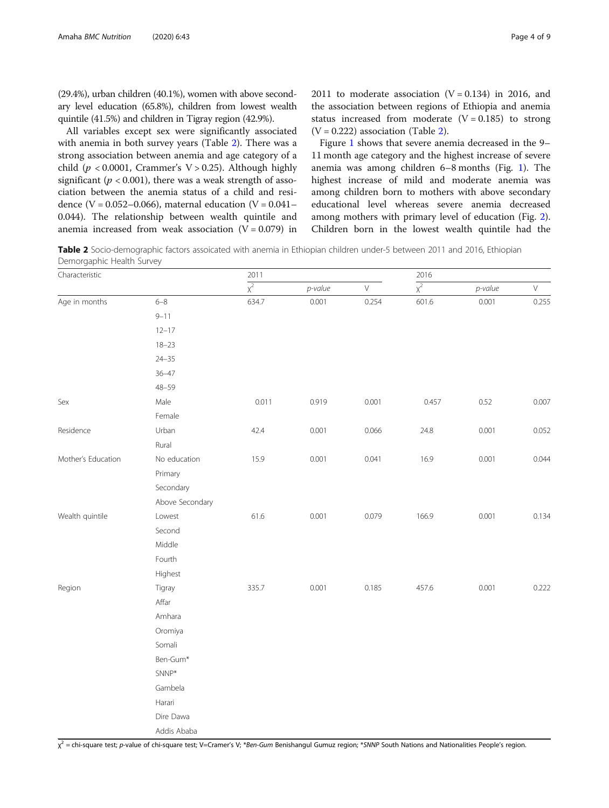<span id="page-3-0"></span>(29.4%), urban children (40.1%), women with above secondary level education (65.8%), children from lowest wealth quintile (41.5%) and children in Tigray region (42.9%).

All variables except sex were significantly associated with anemia in both survey years (Table 2). There was a strong association between anemia and age category of a child ( $p < 0.0001$ , Crammer's V > 0.25). Although highly significant ( $p < 0.001$ ), there was a weak strength of association between the anemia status of a child and residence (V =  $0.052 - 0.066$ ), maternal education (V =  $0.041 -$ 0.044). The relationship between wealth quintile and anemia increased from weak association  $(V = 0.079)$  in 2011 to moderate association  $(V = 0.134)$  in 2016, and the association between regions of Ethiopia and anemia status increased from moderate  $(V = 0.185)$  to strong  $(V = 0.222)$  association (Table 2).

Figure [1](#page-4-0) shows that severe anemia decreased in the 9– 11 month age category and the highest increase of severe anemia was among children 6–8 months (Fig. [1\)](#page-4-0). The highest increase of mild and moderate anemia was among children born to mothers with above secondary educational level whereas severe anemia decreased among mothers with primary level of education (Fig. [2](#page-5-0)). Children born in the lowest wealth quintile had the

Table 2 Socio-demographic factors assoicated with anemia in Ethiopian children under-5 between 2011 and 2016, Ethiopian Demorgaphic Health Survey

| Characteristic     |                 | 2011                |         |        | 2016             |         |        |
|--------------------|-----------------|---------------------|---------|--------|------------------|---------|--------|
|                    |                 | $\overline{\chi^2}$ | p-value | $\vee$ | $\overline{x^2}$ | p-value | $\vee$ |
| Age in months      | $6 - 8$         | 634.7               | 0.001   | 0.254  | 601.6            | 0.001   | 0.255  |
|                    | $9 - 11$        |                     |         |        |                  |         |        |
|                    | $12 - 17$       |                     |         |        |                  |         |        |
|                    | $18 - 23$       |                     |         |        |                  |         |        |
|                    | $24 - 35$       |                     |         |        |                  |         |        |
|                    | $36 - 47$       |                     |         |        |                  |         |        |
|                    | $48 - 59$       |                     |         |        |                  |         |        |
| Sex                | Male            | 0.011               | 0.919   | 0.001  | 0.457            | 0.52    | 0.007  |
|                    | Female          |                     |         |        |                  |         |        |
| Residence          | Urban           | 42.4                | 0.001   | 0.066  | 24.8             | 0.001   | 0.052  |
|                    | Rural           |                     |         |        |                  |         |        |
| Mother's Education | No education    | 15.9                | 0.001   | 0.041  | 16.9             | 0.001   | 0.044  |
|                    | Primary         |                     |         |        |                  |         |        |
|                    | Secondary       |                     |         |        |                  |         |        |
|                    | Above Secondary |                     |         |        |                  |         |        |
| Wealth quintile    | Lowest          | 61.6                | 0.001   | 0.079  | 166.9            | 0.001   | 0.134  |
|                    | Second          |                     |         |        |                  |         |        |
|                    | Middle          |                     |         |        |                  |         |        |
|                    | Fourth          |                     |         |        |                  |         |        |
|                    | Highest         |                     |         |        |                  |         |        |
| Region             | Tigray          | 335.7               | 0.001   | 0.185  | 457.6            | 0.001   | 0.222  |
|                    | Affar           |                     |         |        |                  |         |        |
|                    | Amhara          |                     |         |        |                  |         |        |
|                    | Oromiya         |                     |         |        |                  |         |        |
|                    | Somali          |                     |         |        |                  |         |        |
|                    | Ben-Gum*        |                     |         |        |                  |         |        |
|                    | SNNP*           |                     |         |        |                  |         |        |
|                    | Gambela         |                     |         |        |                  |         |        |
|                    | Harari          |                     |         |        |                  |         |        |
|                    | Dire Dawa       |                     |         |        |                  |         |        |
|                    | Addis Ababa     |                     |         |        |                  |         |        |

 $\chi^2$  = chi-square test;  $p$ -value of chi-square test; V=Cramer's V; \*Ben-Gum Benishangul Gumuz region; \*SNNP South Nations and Nationalities People's region.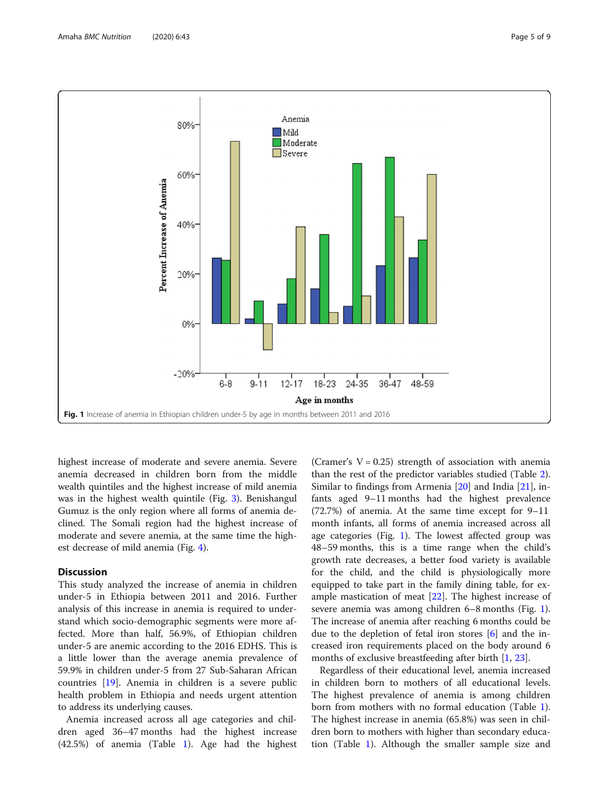<span id="page-4-0"></span>

highest increase of moderate and severe anemia. Severe anemia decreased in children born from the middle wealth quintiles and the highest increase of mild anemia was in the highest wealth quintile (Fig. [3](#page-6-0)). Benishangul Gumuz is the only region where all forms of anemia declined. The Somali region had the highest increase of moderate and severe anemia, at the same time the highest decrease of mild anemia (Fig. [4\)](#page-7-0).

# **Discussion**

This study analyzed the increase of anemia in children under-5 in Ethiopia between 2011 and 2016. Further analysis of this increase in anemia is required to understand which socio-demographic segments were more affected. More than half, 56.9%, of Ethiopian children under-5 are anemic according to the 2016 EDHS. This is a little lower than the average anemia prevalence of 59.9% in children under-5 from 27 Sub-Saharan African countries [\[19\]](#page-8-0). Anemia in children is a severe public health problem in Ethiopia and needs urgent attention to address its underlying causes.

Anemia increased across all age categories and children aged 36–47 months had the highest increase (42.5%) of anemia (Table [1\)](#page-2-0). Age had the highest

(Cramer's  $V = 0.25$ ) strength of association with anemia than the rest of the predictor variables studied (Table [2](#page-3-0)). Similar to findings from Armenia [[20\]](#page-8-0) and India [[21\]](#page-8-0), infants aged 9–11 months had the highest prevalence (72.7%) of anemia. At the same time except for 9–11 month infants, all forms of anemia increased across all age categories (Fig. 1). The lowest affected group was 48–59 months, this is a time range when the child's growth rate decreases, a better food variety is available for the child, and the child is physiologically more equipped to take part in the family dining table, for example mastication of meat [\[22](#page-8-0)]. The highest increase of severe anemia was among children 6–8 months (Fig. 1). The increase of anemia after reaching 6 months could be due to the depletion of fetal iron stores [\[6](#page-8-0)] and the increased iron requirements placed on the body around 6 months of exclusive breastfeeding after birth [[1,](#page-8-0) [23](#page-8-0)].

Regardless of their educational level, anemia increased in children born to mothers of all educational levels. The highest prevalence of anemia is among children born from mothers with no formal education (Table [1](#page-2-0)). The highest increase in anemia (65.8%) was seen in children born to mothers with higher than secondary education (Table [1](#page-2-0)). Although the smaller sample size and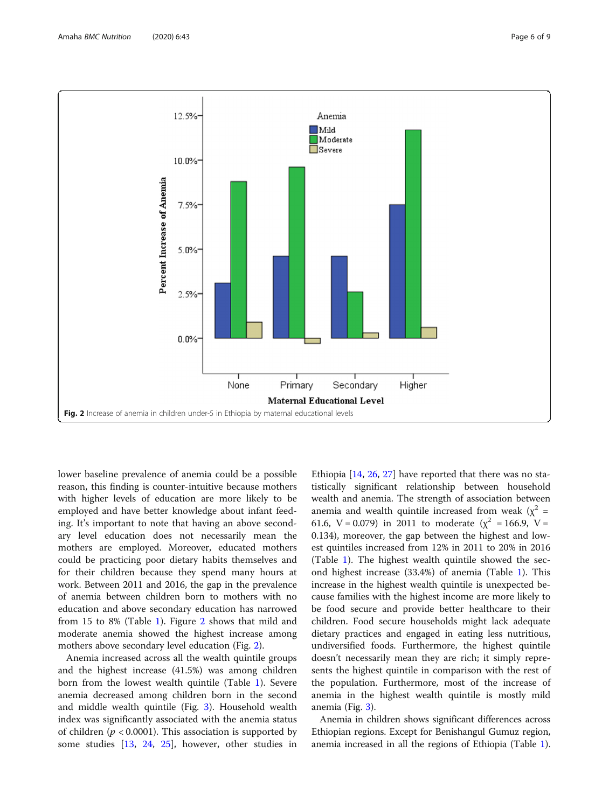<span id="page-5-0"></span>

lower baseline prevalence of anemia could be a possible reason, this finding is counter-intuitive because mothers with higher levels of education are more likely to be employed and have better knowledge about infant feeding. It's important to note that having an above secondary level education does not necessarily mean the mothers are employed. Moreover, educated mothers could be practicing poor dietary habits themselves and for their children because they spend many hours at work. Between 2011 and 2016, the gap in the prevalence of anemia between children born to mothers with no education and above secondary education has narrowed from 15 to 8% (Table [1\)](#page-2-0). Figure 2 shows that mild and moderate anemia showed the highest increase among mothers above secondary level education (Fig. 2).

Anemia increased across all the wealth quintile groups and the highest increase (41.5%) was among children born from the lowest wealth quintile (Table [1](#page-2-0)). Severe anemia decreased among children born in the second and middle wealth quintile (Fig. [3](#page-6-0)). Household wealth index was significantly associated with the anemia status of children ( $p < 0.0001$ ). This association is supported by some studies [\[13](#page-8-0), [24](#page-8-0), [25](#page-8-0)], however, other studies in Ethiopia [[14](#page-8-0), [26](#page-8-0), [27](#page-8-0)] have reported that there was no statistically significant relationship between household wealth and anemia. The strength of association between anemia and wealth quintile increased from weak ( $\chi^2$  = 61.6, V = 0.079) in 2011 to moderate ( $\chi^2$  = 166.9, V = 0.134), moreover, the gap between the highest and lowest quintiles increased from 12% in 2011 to 20% in 2016 (Table [1](#page-2-0)). The highest wealth quintile showed the second highest increase (33.4%) of anemia (Table [1\)](#page-2-0). This increase in the highest wealth quintile is unexpected because families with the highest income are more likely to be food secure and provide better healthcare to their children. Food secure households might lack adequate dietary practices and engaged in eating less nutritious, undiversified foods. Furthermore, the highest quintile doesn't necessarily mean they are rich; it simply represents the highest quintile in comparison with the rest of the population. Furthermore, most of the increase of anemia in the highest wealth quintile is mostly mild anemia (Fig. [3\)](#page-6-0).

Anemia in children shows significant differences across Ethiopian regions. Except for Benishangul Gumuz region, anemia increased in all the regions of Ethiopia (Table [1](#page-2-0)).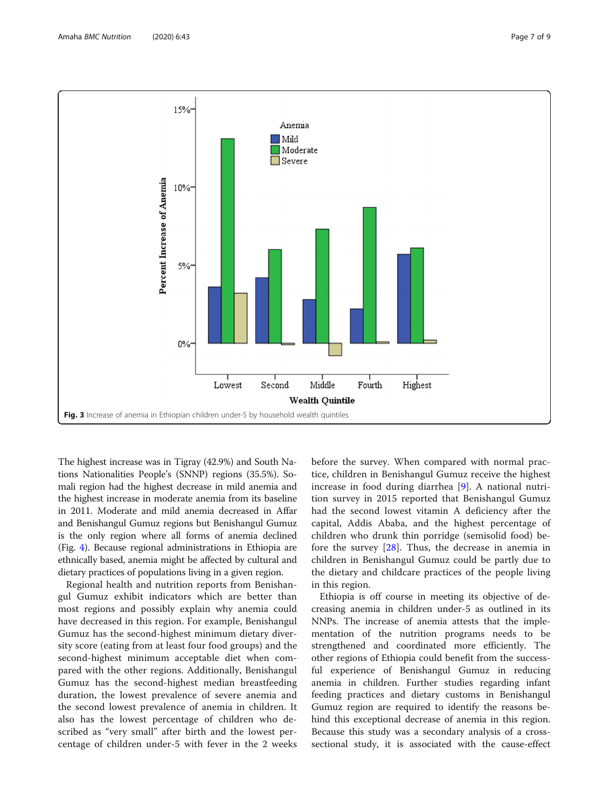<span id="page-6-0"></span>

The highest increase was in Tigray (42.9%) and South Nations Nationalities People's (SNNP) regions (35.5%). Somali region had the highest decrease in mild anemia and the highest increase in moderate anemia from its baseline in 2011. Moderate and mild anemia decreased in Affar and Benishangul Gumuz regions but Benishangul Gumuz is the only region where all forms of anemia declined (Fig. [4\)](#page-7-0). Because regional administrations in Ethiopia are ethnically based, anemia might be affected by cultural and dietary practices of populations living in a given region.

Regional health and nutrition reports from Benishangul Gumuz exhibit indicators which are better than most regions and possibly explain why anemia could have decreased in this region. For example, Benishangul Gumuz has the second-highest minimum dietary diversity score (eating from at least four food groups) and the second-highest minimum acceptable diet when compared with the other regions. Additionally, Benishangul Gumuz has the second-highest median breastfeeding duration, the lowest prevalence of severe anemia and the second lowest prevalence of anemia in children. It also has the lowest percentage of children who described as "very small" after birth and the lowest percentage of children under-5 with fever in the 2 weeks before the survey. When compared with normal practice, children in Benishangul Gumuz receive the highest increase in food during diarrhea [[9\]](#page-8-0). A national nutrition survey in 2015 reported that Benishangul Gumuz had the second lowest vitamin A deficiency after the capital, Addis Ababa, and the highest percentage of children who drunk thin porridge (semisolid food) before the survey [[28\]](#page-8-0). Thus, the decrease in anemia in children in Benishangul Gumuz could be partly due to the dietary and childcare practices of the people living in this region.

Ethiopia is off course in meeting its objective of decreasing anemia in children under-5 as outlined in its NNPs. The increase of anemia attests that the implementation of the nutrition programs needs to be strengthened and coordinated more efficiently. The other regions of Ethiopia could benefit from the successful experience of Benishangul Gumuz in reducing anemia in children. Further studies regarding infant feeding practices and dietary customs in Benishangul Gumuz region are required to identify the reasons behind this exceptional decrease of anemia in this region. Because this study was a secondary analysis of a crosssectional study, it is associated with the cause-effect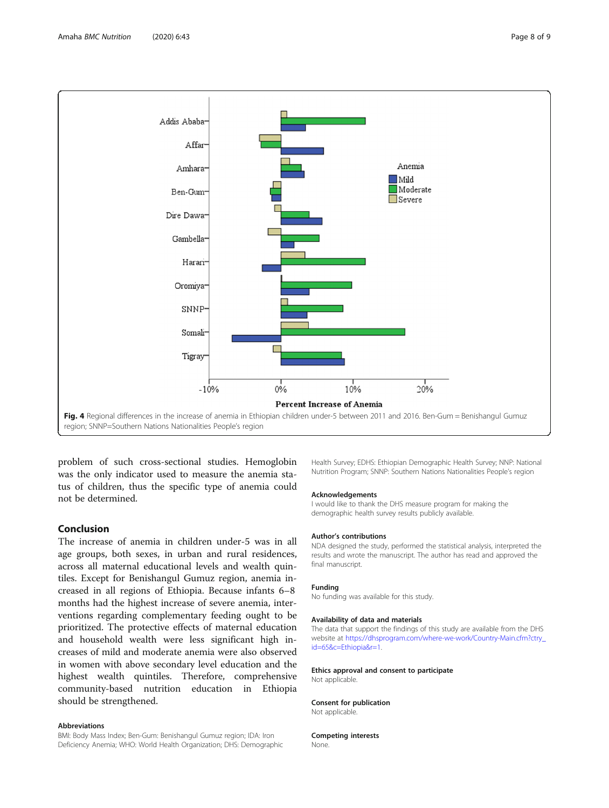<span id="page-7-0"></span>

problem of such cross-sectional studies. Hemoglobin was the only indicator used to measure the anemia status of children, thus the specific type of anemia could not be determined.

# Conclusion

The increase of anemia in children under-5 was in all age groups, both sexes, in urban and rural residences, across all maternal educational levels and wealth quintiles. Except for Benishangul Gumuz region, anemia increased in all regions of Ethiopia. Because infants 6–8 months had the highest increase of severe anemia, interventions regarding complementary feeding ought to be prioritized. The protective effects of maternal education and household wealth were less significant high increases of mild and moderate anemia were also observed in women with above secondary level education and the highest wealth quintiles. Therefore, comprehensive community-based nutrition education in Ethiopia should be strengthened.

#### Abbreviations

BMI: Body Mass Index; Ben-Gum: Benishangul Gumuz region; IDA: Iron Deficiency Anemia; WHO: World Health Organization; DHS: Demographic Health Survey; EDHS: Ethiopian Demographic Health Survey; NNP: National Nutrition Program; SNNP: Southern Nations Nationalities People's region

#### Acknowledgements

I would like to thank the DHS measure program for making the demographic health survey results publicly available.

#### Author's contributions

NDA designed the study, performed the statistical analysis, interpreted the results and wrote the manuscript. The author has read and approved the final manuscript.

#### Funding

No funding was available for this study.

#### Availability of data and materials

The data that support the findings of this study are available from the DHS website at [https://dhsprogram.com/where-we-work/Country-Main.cfm?ctry\\_](https://dhsprogram.com/where-we-work/Country-Main.cfm?ctry_id=65&c=Ethiopia&r=1) [id=65&c=Ethiopia&r=1.](https://dhsprogram.com/where-we-work/Country-Main.cfm?ctry_id=65&c=Ethiopia&r=1)

Ethics approval and consent to participate Not applicable.

# Consent for publication

Not applicable.

Competing interests None.